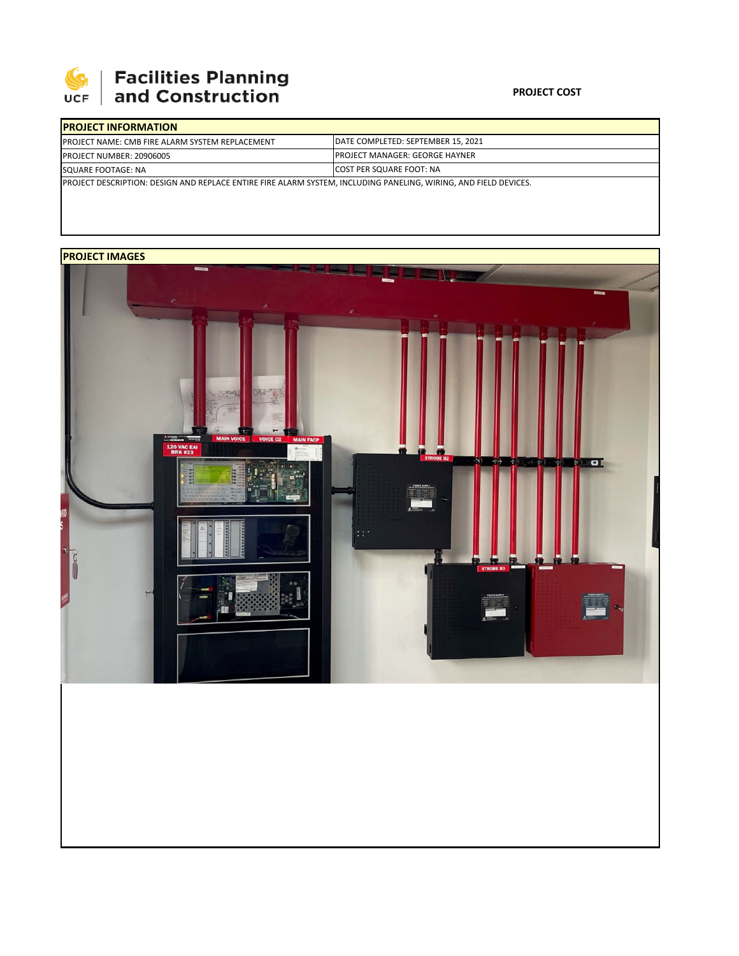

## **Facilities Planning<br>and Construction**

## **PROJECT COST**

| <b>IPROJECT INFORMATION</b>                                                                                      |                                        |  |  |  |
|------------------------------------------------------------------------------------------------------------------|----------------------------------------|--|--|--|
| <b>PROJECT NAME: CMB FIRE ALARM SYSTEM REPLACEMENT</b>                                                           | DATE COMPLETED: SEPTEMBER 15, 2021     |  |  |  |
| <b>PROJECT NUMBER: 20906005</b>                                                                                  | <b>IPROJECT MANAGER: GEORGE HAYNER</b> |  |  |  |
| SQUARE FOOTAGE: NA                                                                                               | <b>ICOST PER SQUARE FOOT: NA</b>       |  |  |  |
| PROJECT DESCRIPTION: DESIGN AND REPLACE ENTIRE FIRE ALARM SYSTEM, INCLUDING PANELING, WIRING, AND FIELD DEVICES. |                                        |  |  |  |